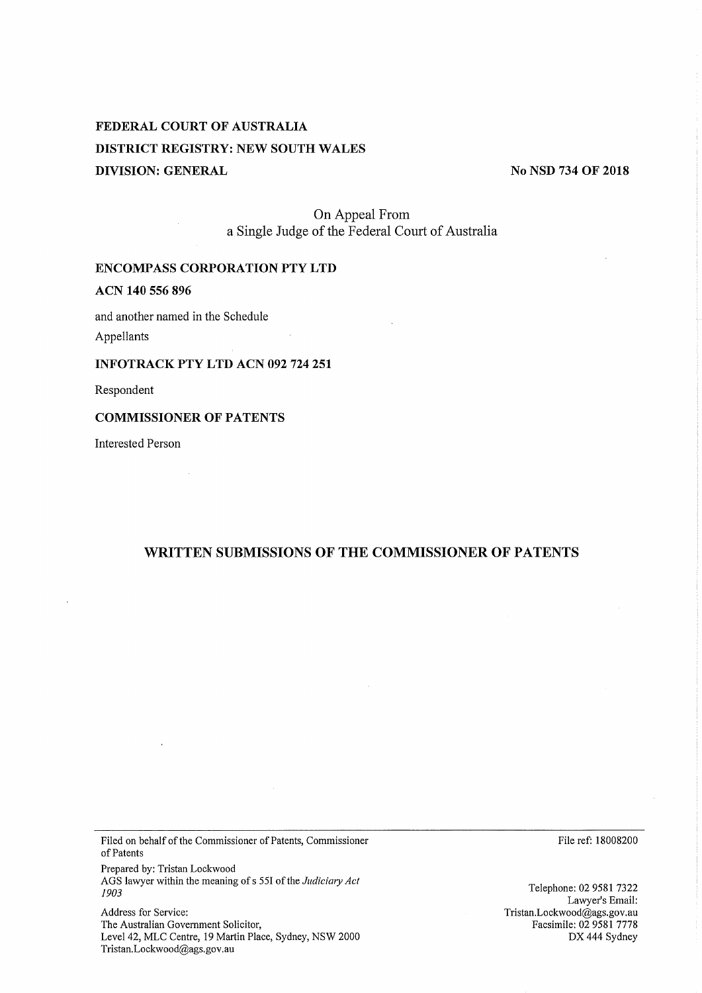# FEDERAL COURT OF AUSTRALIA DISTRICT REGISTRY: NEW SOUTH WALES DIVISION: GENERAL

No NSD 734 OF 2018

On Appeal From a Single Judge of the Federal Court of Australia

## ENCOMPASS CORPORATION PTY LTD

## ACN 140 556 896

and another named in the Schedule

Appellants

### INFOTRACK PTY LTD ACN 092 724 251

Respondent

#### **COMMISSIONER OF PATENTS**

Interested Person

## WRITTEN SUBMISSIONS OF THE COMMISSIONER OF PATENTS

Filed on behalf of the Commissioner of Patents, Commissioner of Patents

Prepared by: Tristan Lockwood AGS lawyer within the meaning of s 551 of the *Judiciary Act 1903*

Address for Service: The Australian Government Solicitor, Level 42, MLC Centre, 19 Martin Place, Sydney, NSW 2000 Tristan.Lockwood@ags.gov.au

File ref: 18008200

Telephone: 02 9581 7322 Lawyer's Email: Tristan.Lockwood@ags.gov.au Facsimile: 02 9581 7778  $DX 444$  Sydney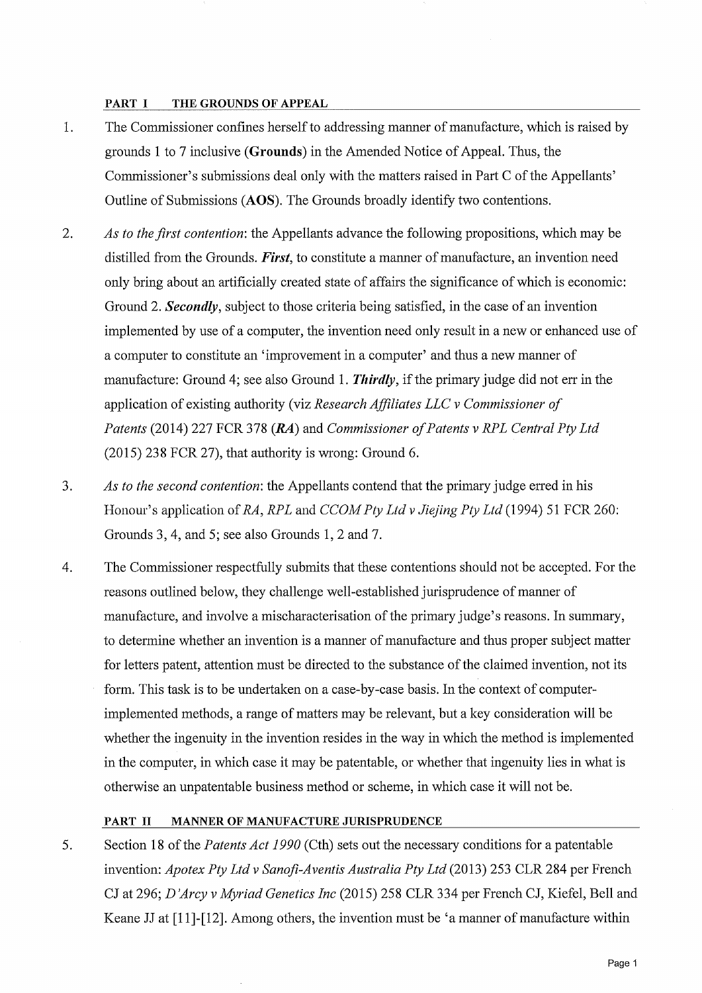#### PART I THE GROUNDS OF APPEAL

- $1.$ The Commissioner confines herself to addressing manner of manufacture, which is raised by grounds 1 to 7 inclusive (Grounds) in the Amended Notice of Appeal. Thus, the Commissioner's submissions deal only with the matters raised in Part C of the Appellants' Outline of Submissions (AOS). The Grounds broadly identify two contentions.
- 2. *A s to the first contention:* the Appellants advance the following propositions, which may be distilled from the Grounds. *First*, to constitute a manner of manufacture, an invention need only bring about an artificially created state of affairs the significance of which is economic: Ground 2. **Secondly**, subject to those criteria being satisfied, in the case of an invention implemented by use of a computer, the invention need only result in a new or enhanced use of a computer to constitute an 'improvement in a computer' and thus a new manner of manufacture: Ground 4; see also Ground 1. **Thirdly**, if the primary judge did not err in the application of existing authority (viz *Research Affiliates LLC v Commissioner of Patents* (2014) 227 FCR 378 (RA) and *Commissioner of Patents v RPL Central Pty Ltd* (2015) 238 FCR 27), that authority is wrong: Ground 6.
- 3. *A s to the second contention:* the Appellants contend that the primary judge erred in his Honour's application of *RA*, *RPL* and *CCOM Pty Ltd v Jiejing Pty Ltd* (1994) 51 FCR 260: Grounds 3, 4, and 5; see also Grounds 1, 2 and 7.
- 4. The Commissioner respectfully submits that these contentions should not be accepted. For the reasons outlined below, they challenge well-established jurisprudence of manner of manufacture, and involve a mischaracterisation of the primary judge's reasons. In summary, to determine whether an invention is a manner of manufacture and thus proper subject matter for letters patent, attention must be directed to the substance of the claimed invention, not its form. This task is to be undertaken on a case-by-case basis. In the context of computerimplemented methods, a range of matters may be relevant, but a key consideration will be whether the ingenuity in the invention resides in the way in which the method is implemented in the computer, in which case it may be patentable, or whether that ingenuity lies in what is otherwise an unpatentable business method or scheme, in which case it will not be.

### PART II MANNER OF MANUFACTURE JURISPRUDENCE

5. Section 18 of the *Patents Act 1990* (Cth) sets out the necessary conditions for a patentable invention: *Apotex Pty Ltd v Sanofi−Aventis Australia Ply Ltd* (2013) 253 CLR 284 per French CJ at 296; *D 'Arcy v Myriad Genetics Inc* (2015) 258 CLR 334 per French CJ, Kiefel, Bell and Keane JJ at [11]-[12]. Among others, the invention must be 'a manner of manufacture within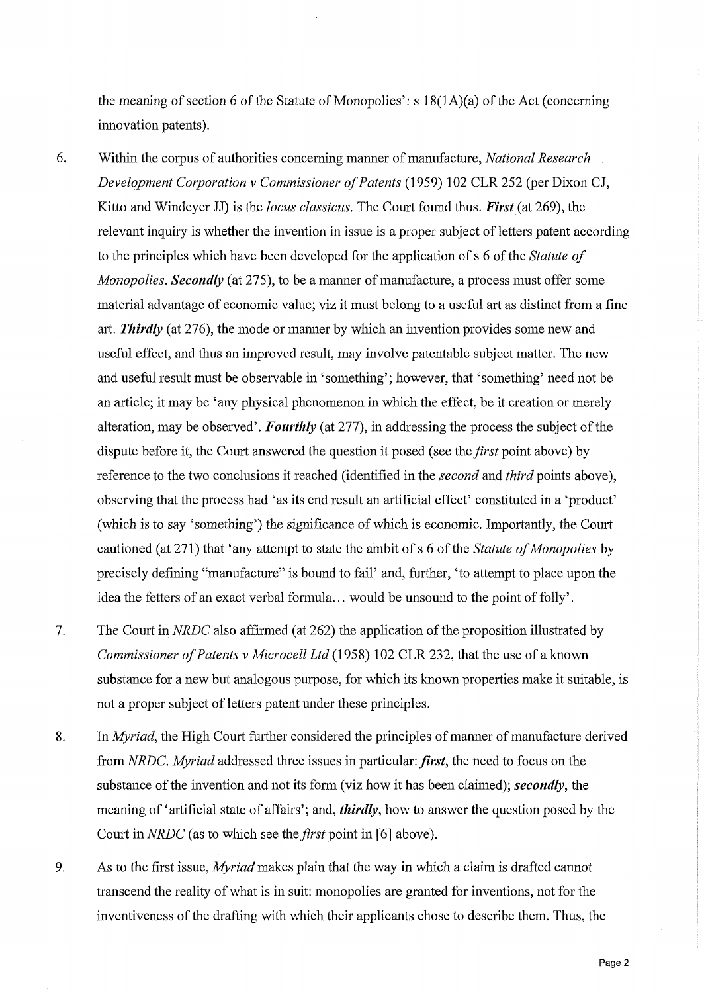the meaning of section 6 of the Statute of Monopolies': s 18(1A)(a) of the Act (concerning innovation patents).

- 6. Within the corpus of authorities concerning manner of manufacture, *National Research Development Corporation v Commissioner of Patents* (1959) 102 CLR 252 (per Dixon CJ, Kitto and Windeyer JJ) is the *locus classicus.* The Court found thus. *First* (at 269), the relevant inquiry is whether the invention in issue is a proper subject of letters patent according to the principles which have been developed for the application of s 6 of the *Statute of Monopolies. Secondly* (at 275), to be a manner of manufacture, a process must offer some material advantage of economic value; viz it must belong to a useful art as distinct from a fine art. *Thirdly* (at 276), the mode or manner by which an invention provides some new and useful effect, and thus an improved result, may involve patentable subject matter. The new and useful result must be observable in 'something'; however, that 'something' need not be an article; it may be 'any physical phenomenon in which the effect, be it creation or merely alteration, may be observed'. *Fourthly* (at 277), in addressing the process the subject of the dispute before it, the Court answered the question it posed (see the *first* point above) by reference to the two conclusions it reached (identified in the *second* and *third* points above), observing that the process had 'as its end result an artificial effect' constituted in a 'product' (which is to say 'something') the significance of which is economic. Importantly, the Court cautioned (at 271) that 'any attempt to state the ambit of s 6 of the *Statute of Monopolies* by precisely defining "manufacture" is bound to fail' and, further, 'to attempt to place upon the idea the fetters of an exact verbal formula... would be unsound to the point of folly'.
- 7. The Court in *NRDC* also affirmed (at 262) the application of the proposition illustrated by *Commissioner of Patents v Microcell Ltd* (1958) 102 CLR 232, that the use of a known substance for a new but analogous purpose, for which its known properties make it suitable, is not a proper subject of letters patent under these principles.
- 8. In *Myriad,* the High Court further considered the principles of manner of manufacture derived from *NRDC. Myriad* addressed three issues in particular: *first*, the need to focus on the substance of the invention and not its form (viz how it has been claimed); *secondly,* the meaning of 'artificial state of affairs'; and, *thirdly,* how to answer the question posed by the Court in *NRDC* (as to which see the *first* point in [6] above).
- 9. As to the first issue, *Myriad* makes plain that the way in which a claim is drafted cannot transcend the reality of what is in suit: monopolies are granted for inventions, not for the inventiveness of the drafting with which their applicants chose to describe them. Thus, the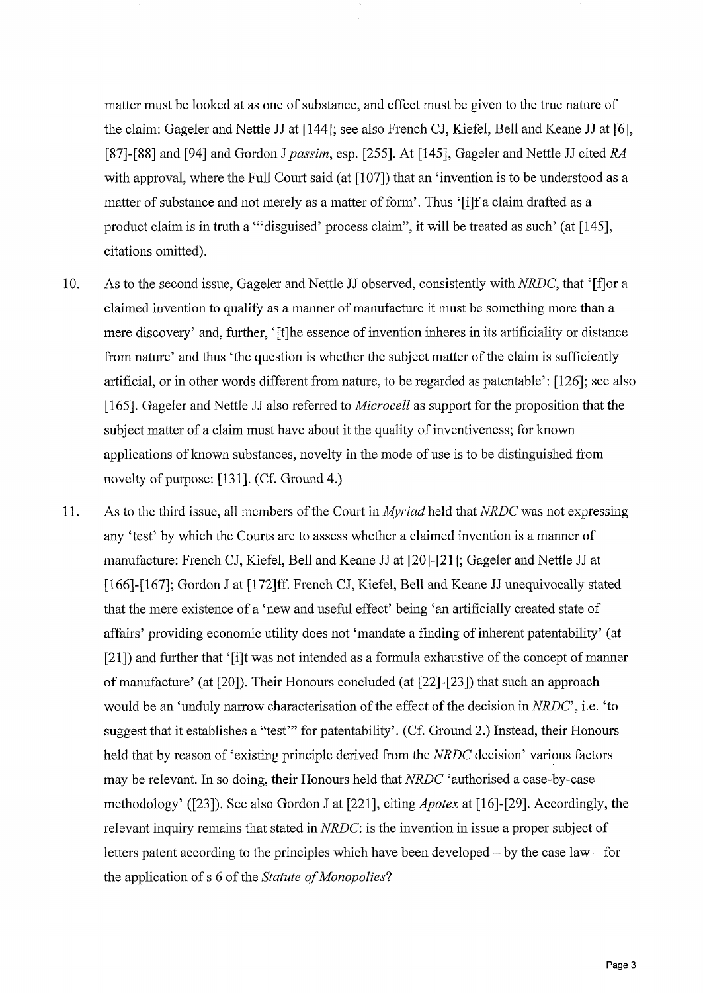matter must be looked at as one of substance, and effect must be given to the true nature of the claim: Gageler and Nettle JJ at [144]; see also French CJ, Kiefel, Bell and Keane JJ at [6], [87]−[88] and [94] and Gordon *J passim,* esp. [255]. At [145], Gageler and Nettle JJ cited *RA* with approval, where the Full Court said (at [107]) that an 'invention is to be understood as a matter of substance and not merely as a matter of form'. Thus '[i]f a claim drafted as a product claim is in truth a "'disguised' process claim", it will be treated as such' (at [145], citations omitted).

- 10. As to the second issue, Gageler and Nettle JJ observed, consistently with *NRDC*, that '[f] or a claimed invention to qualify as a manner of manufacture it must be something more than a mere discovery' and, further, '[t]he essence of invention inheres in its artificiality or distance from nature' and thus 'the question is whether the subject matter of the claim is sufficiently artificial, or in other words different from nature, to be regarded as patentable': [126]; see also [165]. Gageler and Nettle JJ also referred to *Microcell* as support for the proposition that the subject matter of a claim must have about it the quality of inventiveness; for know applications of known substances, novelty in the mode of use is to be distinguished from novelty of purpose: [131]. (Cf. Ground 4.)
- 11. As to the third issue, all members of the Court in *Myriad* held that *NRDC* was not expressing any 'test' by which the Courts are to assess whether a claimed invention is a manner of manufacture: French CJ, Kiefel, Bell and Keane JJ at [20]−[21]; Gageler and Nettle JJ at [166]-[167]; Gordon J at [172]ff. French CJ, Kiefel, Bell and Keane JJ unequivocally stated that the mere existence of a 'new and useful effect' being 'an artificially created state of affairs' providing economic utility does not 'mandate a finding of inherent patentability' (a [21]) and further that '[i]t was not intended as a formula exhaustive of the concept of manner of manufacture' (at [20]). Their Honours concluded (at [22]-[23]) that such an approach would be an 'unduly narrow characterisation of the effect of the decision in *NRDC*', i.e. 'to suggest that it establishes a "test" for patentability'. (Cf. Ground 2.) Instead, their Honours held that by reason of 'existing principle derived from the *NRDC* decision' various factors may be relevant. In so doing, their Honours held that *NRDC 'authorised* a case−by−case methodology' ([23]). See also Gordon J at [221], citing *Apotex* at [16]−[29]. Accordingly, the relevant inquiry remains that stated in *NRDC:* is the invention in issue a proper subject of letters patent according to the principles which have been developed — by the case law — for the application of s 6 of the *Statute of Monopolies*?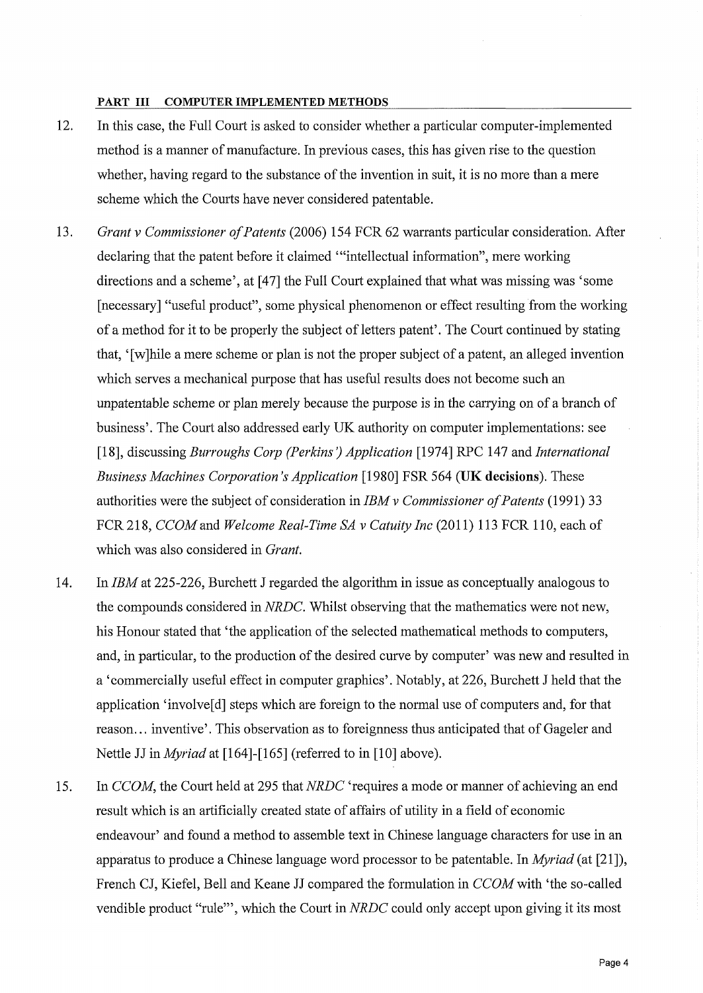#### PART III COMPUTER IMPLEMENTED METHODS

- 12. In this case, the Full Court is asked to consider whether a particular computer-implemente method is a manner of manufacture. In previous cases, this has given rise to the question whether, having regard to the substance of the invention in suit, it is no more than a mere scheme which the Courts have never considered patentable.
- 13. *Grant v Commissioner of Patents* (2006) 154 FCR 62 warrants particular consideration. After declaring that the patent before it claimed "intellectual information", mere working directions and a scheme', at [47] the Full Court explained that what was missing was 'some [necessary] "useful product", some physical phenomenon or effect resulting from the working of a method for it to be properly the subject of letters patent'. The Court continued by stating that, '[w]hile a mere scheme or plan is not the proper subject of a patent, an alleged invention which serves a mechanical purpose that has useful results does not become such an unpatentable scheme or plan merely because the purpose is in the carrying on of a branch of business'. The Court also addressed early UK authority on computer implementations: see [18], discussing *Burroughs Corp (Perkins) Application* [1974] RPC 147 and *International Business Machines Corporation's Application* [1980] FSR 564 (UK decisions). These authorities were the subject of consideration in *IBM v Commissioner of Patents* (1991) 33 FCR 218, *CCOM* and *Welcome Real−Time SA v Catuity Inc* (2011) 113 FCR 110, each of which was also considered in *Grant.*
- 14. In *IBM* at 225−226, Burchett J regarded the algorithm in issue as conceptually analogous to the compounds considered in *NRDC.* Whilst observing that the mathematics were not new, his Honour stated that 'the application of the selected mathematical methods to computers, and, in particular, to the production of the desired curve by computer' was new and resulted in a 'commercially useful effect in computer graphics'. Notably, at 226, Burchett J held that the application 'involve<sup>[d]</sup> steps which are foreign to the normal use of computers and, for that reason... inventive'. This observation as to foreignness thus anticipated that of Gageler and Nettle JJ in *Myriad* at [164]−[165] (referred to in [10] above).
- 15. In *CCOM*, the Court held at 295 that *NRDC* 'requires a mode or manner of achieving an end result which is an artificially created state of affairs of utility in a field of economi endeavour' and found a method to assemble text in Chinese language characters for use in an apparatus to produce a Chinese language word processor to be patentable. In *Myriad* (at [21]), French CJ, Kiefel, Bell and Keane JJ compared the formulation in *CCOM* with 'the so−called vendible product "rule", which the Court in *NRDC* could only accept upon giving it its most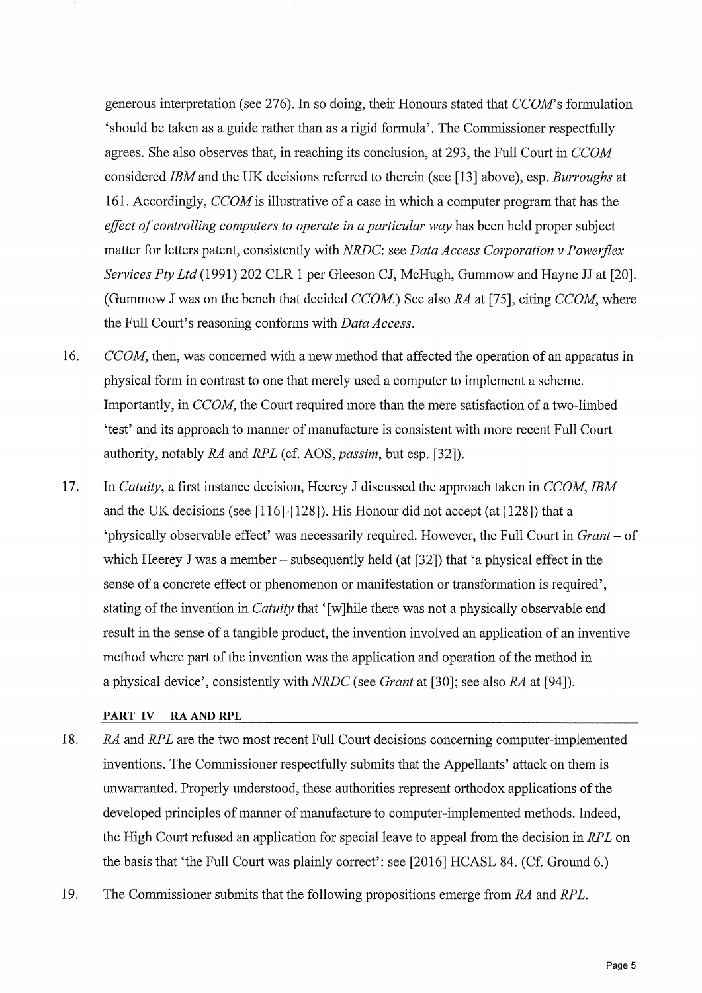generous interpretation (see 276). In so doing, their Honours stated that *CCOM's* formulation 'should be taken as a guide rather than as a rigid formula'. The Commissioner respectfull agrees. She also observes that, in reaching its conclusion, at 293, the Full Court in *CCOM* considered *IBM* and the UK decisions referred to therein (see [13] above), esp. *Burroughs* at 161. Accordingly, *CCOM* is illustrative of a case in which a computer program that has the *effect of controlling computers to operate in a particular way* has been held proper subject matter for letters patent, consistently with *NRDC:* see *Data Access Corporation v Powerflex Services Ply Ltd* (1991) 202 CLR 1 per Gleeson CJ, McHugh, Gummow and Hayne JJ at [20]. (Gummow J was on the bench that decided *CCOM.)* See also *RA* at [75], citing *CCOM,* where the Full Court's reasoning conforms with *Data Access.*

- 16. *CCOM*, then, was concerned with a new method that affected the operation of an apparatus in physical form in contrast to one that merely used a computer to implement a scheme. Importantly, in *CCOM*, the Court required more than the mere satisfaction of a two-limbed 'test' and its approach to manner of manufacture is consistent with more recent Full Court authority, notably *RA* and *RPL* (cf. AOS, *passim,* but esp. [32]).
- 17. In *Catuity,* a first instance decision, Heerey J discussed the approach taken in *CCOM, IBM* and the UK decisions (see [116]-[128]). His Honour did not accept (at [128]) that a 'physically observable effect' was necessarily required. However, the Full Court in *Grant —* of which Heerey J was a member – subsequently held (at  $[32]$ ) that 'a physical effect in the sense of a concrete effect or phenomenon or manifestation or transformation is required', stating of the invention in *Catuity* that '[w]hile there was not a physically observable end result in the sense of a tangible product, the invention involved an application of an inventiv method where part of the invention was the application and operation of the method in a physical device', consistently with *NRDC* (see *Grant* at [30]; see also *RA* at [94]).

### PART IV RA AND RPL

- 18. *RA* and *RPL* are the two most recent Full Court decisions concerning computer−implemented inventions. The Commissioner respectfully submits that the Appellants' attack on them is unwarranted. Properly understood, these authorities represent orthodox applications of the developed principles of manner of manufacture to computer-implemented methods. Indeed, the High Court refused an application for special leave to appeal from the decision in *RPL* on the basis that 'the Full Court was plainly correct': see [2016] HCASL 84. (Cf. Ground 6.)
- 19. The Commissioner submits that the following propositions emerge from *RA* and *RPL.*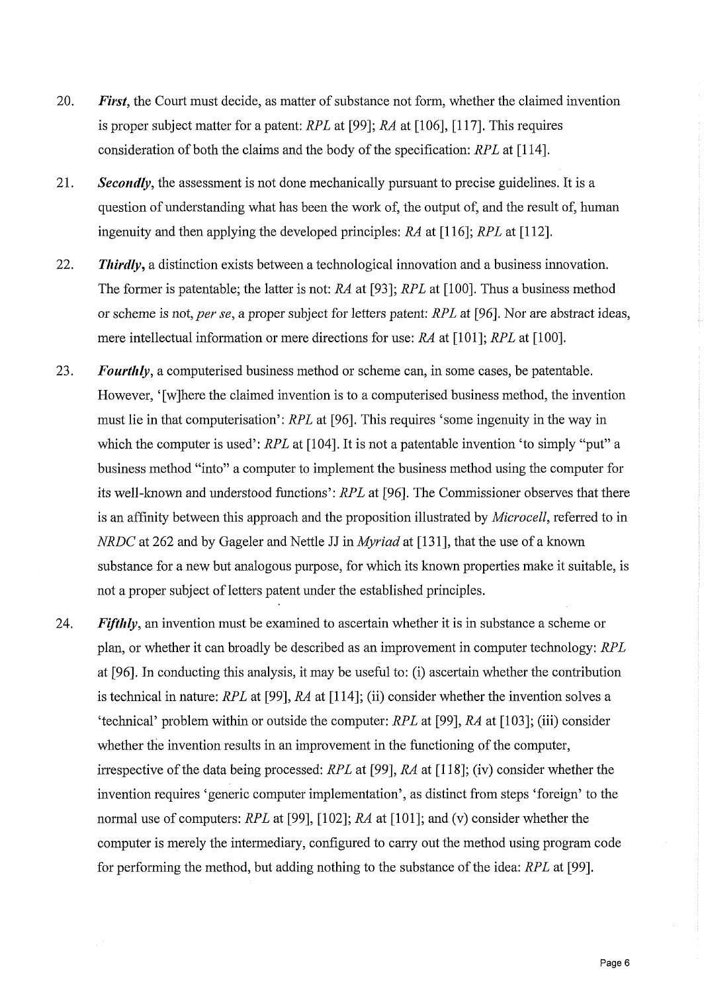- 20. *First*, the Court must decide, as matter of substance not form, whether the claimed invention is proper subject matter for a patent: *RPL* at [99]; *RA* at [106], [117]. This requires consideration of both the claims and the body of the specification: *RPL* at [114].
- 21. *Secondly,* the assessment is not done mechanically pursuant to precise guidelines. It is a question of understanding what has been the work of, the output of, and the result of, human ingenuity and then applying the developed principles: *RA* at [116]; *RPL* at [112].
- 22. Thirdly, a distinction exists between a technological innovation and a business innovation The former is patentable; the latter is not: *RA* at [93]; *RPL* at [100]. Thus a business metho or scheme is not, *per se,* a proper subject for letters patent: *RPL* at [96]. Nor are abstract ideas, mere intellectual information or mere directions for use: *RA* at [101]; *RPL* at [100].
- 23. *Fourthly,* a computerised business method or scheme can, in some cases, be patentable. However, '[w]here the claimed invention is to a computerised business method, the inventio must lie in that computerisation': *RPL* at [96]. This requires 'some ingenuity in the way in which the computer is used': *RPL* at [104]. It is not a patentable invention 'to simply "put" a business method "into" a computer to implement the business method using the computer for its well−known and understood functions': *RPL* at [96]. The Commissioner observes that there is an affinity between this approach and the proposition illustrated by *Microcell,* referred to in *NRDC* at 262 and by Gageler and Nettle JJ in *Myriad* at [131], that the use of a know. substance for a new but analogous purpose, for which its known properties make it suitable, is not a proper subject of letters patent under the established principles.
- 24. *Fifthly*, an invention must be examined to ascertain whether it is in substance a scheme or plan, or whether it can broadly be described as an improvement in computer technology: *RPL* at [96]. In conducting this analysis, it may be useful to: (i) ascertain whether the contribution is technical in nature: *RPL* at [99], *RA* at [114]; (ii) consider whether the invention solves a 'technical' problem within or outside the computer: *RPL* at [99], *RA* at [103]; (iii) consider whether the invention results in an improvement in the functioning of the computer, irrespective of the data being processed: *RPL* at [99], *RA* at [118]; (iv) consider whether the invention requires 'generic computer implementation', as distinct from steps 'foreign' to the normal use of computers: *RPL* at [99], [102]; *RA* at [101]; and (v) consider whether the computer is merely the intermediary, configured to carry out the method using program code for performing the method, but adding nothing to the substance of the idea: *RPL* at [99].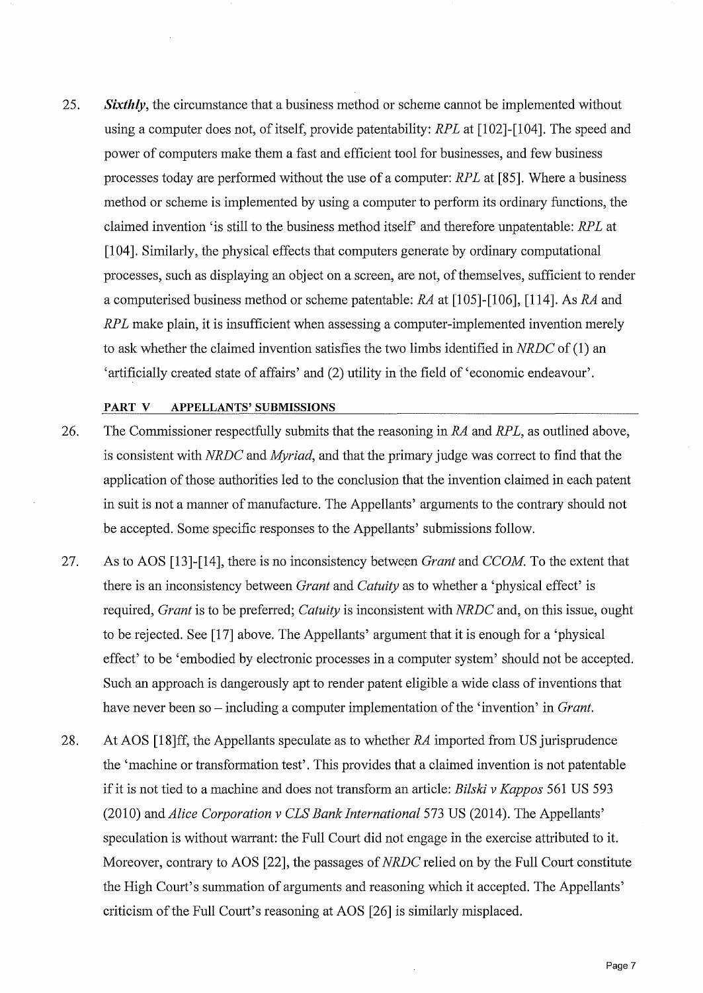25. *Sixthly*, the circumstance that a business method or scheme cannot be implemented without using a computer does not, of itself, provide patentability: *RPL* at [102]-[104]. The speed and power of computers make them a fast and efficient tool for businesses, and few busines processes today are performed without the use of a computer: *RPL* at [85]. Where a busines method or scheme is implemented by using a computer to perform its ordinary functions, the claimed invention 'is still to the business method itself' and therefore unpatentable: *RPL* at [104]. Similarly, the physical effects that computers generate by ordinary computational processes, such as displaying an object on a screen, are not, of themselves, sufficient to render a computerised business method or scheme patentable: *RA* at [105]−[106], [114]. As *RA* and *RPL* make plain, it is insufficient when assessing a computer-implemented invention merely to ask whether the claimed invention satisfies the two limbs identified in *NRDC* of (1) an 'artificially created state of affairs' and (2) utility in the field of 'economic endeavour'.

#### PART V APPELLANTS' SUBMISSIONS

- 26. The Commissioner respectfully submits that the reasoning in *RA* and *RPL,* as outlined above, is consistent with *NRDC* and *Myriad,* and that the primary judge was correct to find that the application of those authorities led to the conclusion that the invention claimed in each patent in suit is not a manner of manufacture. The Appellants' arguments to the contrary should not be accepted. Some specific responses to the Appellants' submissions follow.
- 27. As to AOS [13]−[14], there is no inconsistency between *Grant* and *CCOM.* To the extent that there is an inconsistency between *Grant* and *Catuity* as to whether a 'physical effect' is required, *Grant* is to be preferred; *Catuity* is inconsistent with *NRDC* and, on this issue, ought to be rejected. See [17] above. The Appellants' argument that it is enough for a 'physical effect' to be 'embodied by electronic processes in a computer system' should not be accepted. Such an approach is dangerously apt to render patent eligible a wide class of inventions that have never been so – including a computer implementation of the 'invention' in *Grant*
- 28. At AOS [18]ff, the Appellants speculate as to whether *RA* imported from US jurisprudence the 'machine or transformation test'. This provides that a claimed invention is not patentable if it is not tied to a machine and does not transform an article: *Bilski v Kappos* 561 US 593 (2010) and *Alice Corporation v CLS Bank International* 573 US (2014). The Appellants' speculation is without warrant: the Full Court did not engage in the exercise attributed to it. Moreover, contrary to AOS [22], the passages of *NRDC* relied on by the Full Court constitute the High Court's summation of arguments and reasoning which it accepted. The Appellants' criticism of the Full Court's reasoning at AOS [26] is similarly misplaced.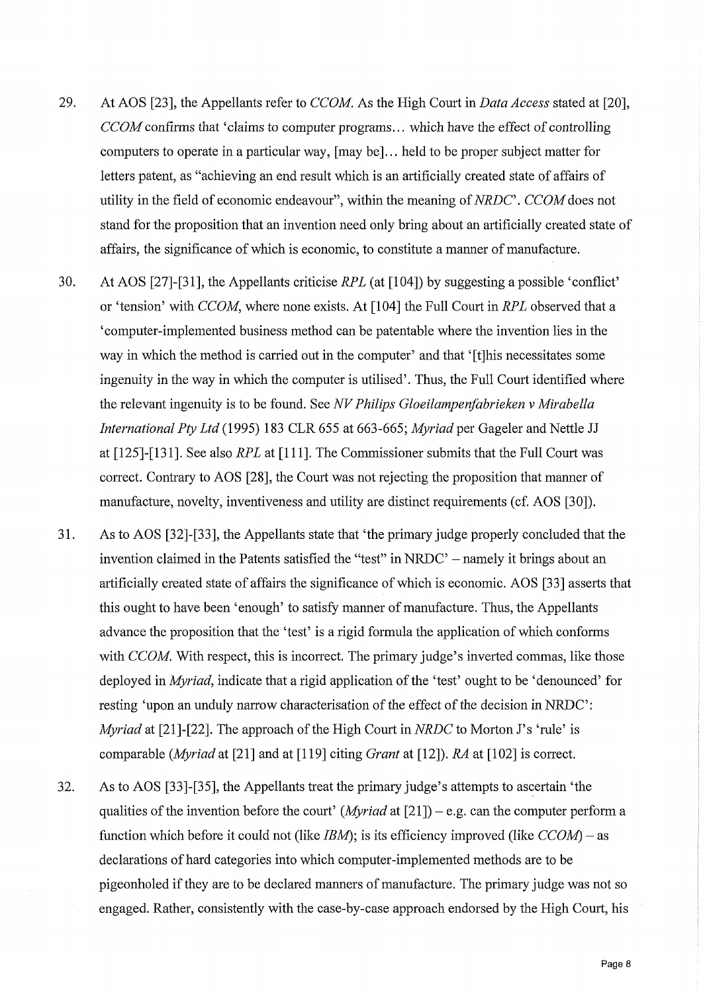- 29. At AOS [23], the Appellants refer to *CCOM.* As the High Court in *Data Access* stated at [20], *CCOM* confirms that 'claims to computer programs... which have the effect of controlling computers to operate in a particular way, [may be]... held to be proper subject matter for letters patent, as "achieving an end result which is an artificially created state of affairs of utility in the field of economic endeavour", within the meaning of *NRDC*'. *CCOM* does not stand for the proposition that an invention need only bring about an artificially created state of affairs, the significance of which is economic, to constitute a manner of manufacture.
- 30. At AOS [27]-[31], the Appellants criticise *RPL* (at [104]) by suggesting a possible 'confliction' or 'tension' with *CCOM,* where none exists. At [104] the Full Court in *RPL* observed that a 'computer−implemented business method can be patentable where the invention lies in the way in which the method is carried out in the computer' and that '[t]his necessitates some ingenuity in the way in which the computer is utilised'. Thus, the Full Court identified where the relevant ingenuity is to be found. See *N V Philips Gloeilampenfabrieken v Mirabella International Pty Ltd* (1995) 183 CLR 655 at 663−665; *Myriad* per Gageler and Nettle JJ at [125]−[131]. See also *RPL* at [111]. The Commissioner submits that the Full Court was correct. Contrary to AOS [28], the Court was not rejecting the proposition that manner of manufacture, novelty, inventiveness and utility are distinct requirements (cf. AOS [30]).
- 31. As to AOS [32]−[33], the Appellants state that 'the primary judge properly concluded that the invention claimed in the Patents satisfied the "test" in NRDC' — namely it brings about an artificially created state of affairs the significance of which is economic. AOS [33] asserts that this ought to have been 'enough' to satisfy manner of manufacture. Thus, the Appellants advance the proposition that the 'test' is a rigid formula the application of which conform with *CCOM*. With respect, this is incorrect. The primary judge's inverted commas, like those deployed in *Myriad*, indicate that a rigid application of the 'test' ought to be 'denounced' fo resting 'upon an unduly narrow characterisation of the effect of the decision in NRDC': *Myriad* at [21]-[22]. The approach of the High Court in *NRDC* to Morton J's 'rule' is comparable *(Myriad* at [21] and at [119] citing *Grant* at [12]). *RA* at [102] is correct.
- 32. As to AOS [33]−[35], the Appellants treat the primary judge's attempts to ascertain 'the qualities of the invention before the court' *(Myriad* at  $[21]$ ) – e.g. can the computer perform a function which before it could not (like *IBM);* is its efficiency improved (like *CCOM)* — as declarations of hard categories into which computer-implemented methods are to be pigeonholed if they are to be declared manners of manufacture. The primary judge was not so engaged. Rather, consistently with the case−by−case approach endorsed by the High Court, his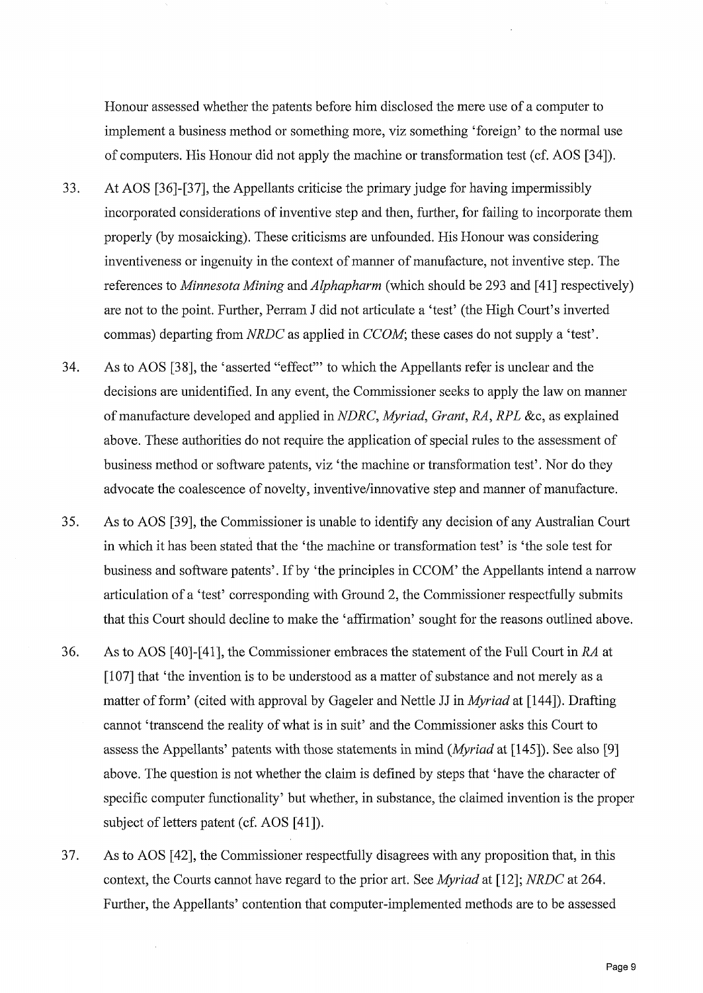Honour assessed whether the patents before him disclosed the mere use of a computer to implement a business method or something more, viz something 'foreign' to the normal use of computers. His Honour did not apply the machine or transformation test (cf. AOS [34]).

- 33. At AOS [36]−[37], the Appellants criticise the primary judge for having impermissibly incorporated considerations of inventive step and then, further, for failing to incorporate them properly (by mosaicking). These criticisms are unfounded. His Honour was considering inventiveness or ingenuity in the context of manner of manufacture, not inventive step. The references to *Minnesota Mining* and *Alphapharm* (which should be 293 and [41] respectively) are not to the point. Further, Perram J did not articulate a 'test' (the High Court's inverted commas) departing from *NRDC* as applied in *CCOM*; these cases do not supply a 'test'
- 34. As to AOS [38], the 'asserted "effect" to which the Appellants refer is unclear and the decisions are unidentified. In any event, the Commissioner seeks to apply the law on manner o f manufacture developed and applied in *NDRC, Myriad, Grant, RA, RPL* &c, as explained above. These authorities do not require the application of special rules to the assessment of business method or software patents, viz 'the machine or transformation test'. Nor do they advocate the coalescence of novelty, inventive/innovative step and manner of manufacture.
- 35. As to AOS [39], the Commissioner is unable to identify any decision of any Australian Court in which it has been stated that the 'the machine or transformation test' is 'the sole test for business and software patents'. If by 'the principles in CCOM' the Appellants intend a narrow articulation of a 'test' corresponding with Ground 2, the Commissioner respectfully submit that this Court should decline to make the 'affirmation' sought for the reasons outlined above.
- 36. As to AOS [40]-[41], the Commissioner embraces the statement of the Full Court in *RA* at [107] that 'the invention is to be understood as a matter of substance and not merely as a matter of form' (cited with approval by Gageler and Nettle JJ in *Myriad* at [144]). Drafting cannot 'transcend the reality of what is in suit' and the Commissioner asks this Court to assess the Appellants' patents with those statements in mind *(Myriad* at [145]). See also [9] above. The question is not whether the claim is defined by steps that 'have the character of specific computer functionality' but whether, in substance, the claimed invention is the proper subject of letters patent (cf. AOS [41]).
- 37. As to AOS [42], the Commissioner respectfully disagrees with any proposition that, in this context, the Courts cannot have regard to the prior art. See *Myriad* at [12]; *NRDC* at 264. Further, the Appellants' contention that computer−implemented methods are to be assessed

 $\frac{1}{\sqrt{2}}$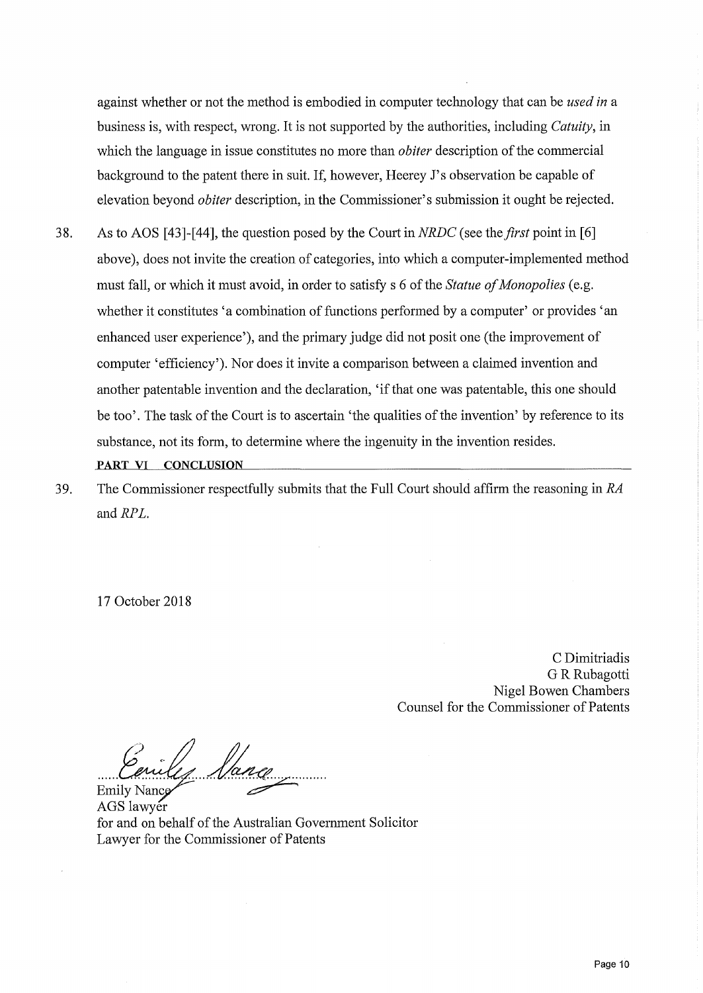against whether or not the method is embodied in computer technology that can be *used in* a business is, with respect, wrong. It is not supported by the authorities, including *Catuity,* in which the language in issue constitutes no more than *obiter* description of the commercial background to the patent there in suit. If, however, Heerey J's observation be capable of elevation beyond *obiter* description, in the Commissioner's submission it ought be rejected.

- 38. As to AOS [43]−[44], the question posed by the Court in *NRDC* (see the *first* point in [6] above), does not invite the creation of categories, into which a computer−implemented method must fall, or which it must avoid, in order to satisfy s 6 of the *Statue of Monopolies* (e.g. whether it constitutes 'a combination of functions performed by a computer' or provides 'an enhanced user experience'), and the primary judge did not posit one (the improvement of computer 'efficiency'). Nor does it invite a comparison between a claimed invention and another patentable invention and the declaration, `if that one was patentable, this one should be too'. The task of the Court is to ascertain 'the qualities of the invention' by reference to its substance, not its form, to determine where the ingenuity in the invention resides. PART VI CONCLUSION
- 39. The Commissioner respectfully submits that the Full Court should affirm the reasoning in *RA* and *RPL.*

17 October 2018

C Dimitriadis G R Rubagotti Nigel Bowen Chambers Counsel for the Commissioner of Patents

Emily Sang

AGS lawyer for and on behalf of the Australian Government Solicitor Lawyer for the Commissioner of Patents